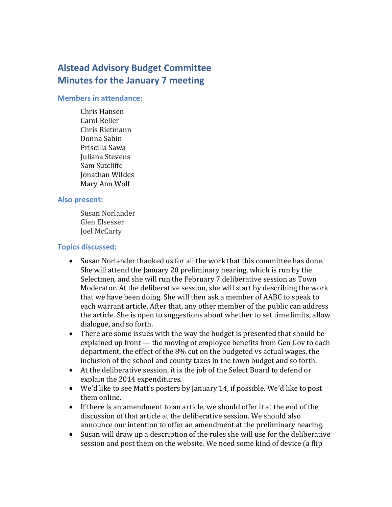# **Alstead Advisory Budget Committee Minutes for the January 7 meeting**

#### **Members in attendance:**

Chris Hansen Carol Reller Chris Rietmann Donna Sabin Priscilla Sawa Juliana Stevens Sam Sutcliffe Jonathan Wildes Mary Ann Wolf

#### **Also present:**

Susan Norlander Glen Elsesser Joel McCarty

#### **Topics discussed:**

- Susan Norlander thanked us for all the work that this committee has done. She will attend the January 20 preliminary hearing, which is run by the Selectmen, and she will run the February 7 deliberative session as Town Moderator. At the deliberative session, she will start by describing the work that we have been doing. She will then ask a member of AABC to speak to each warrant article. After that, any other member of the public can address the article. She is open to suggestions about whether to set time limits, allow dialogue, and so forth.
- There are some issues with the way the budget is presented that should be explained up front — the moving of employee benefits from Gen Gov to each department, the effect of the 8% cut on the budgeted vs actual wages, the inclusion of the school and county taxes in the town budget and so forth.
- At the deliberative session, it is the job of the Select Board to defend or explain the 2014 expenditures.
- We'd like to see Matt's posters by January 14, if possible. We'd like to post them online.
- If there is an amendment to an article, we should offer it at the end of the discussion of that article at the deliberative session. We should also announce our intention to offer an amendment at the preliminary hearing.
- Susan will draw up a description of the rules she will use for the deliberative session and post them on the website. We need some kind of device (a flip